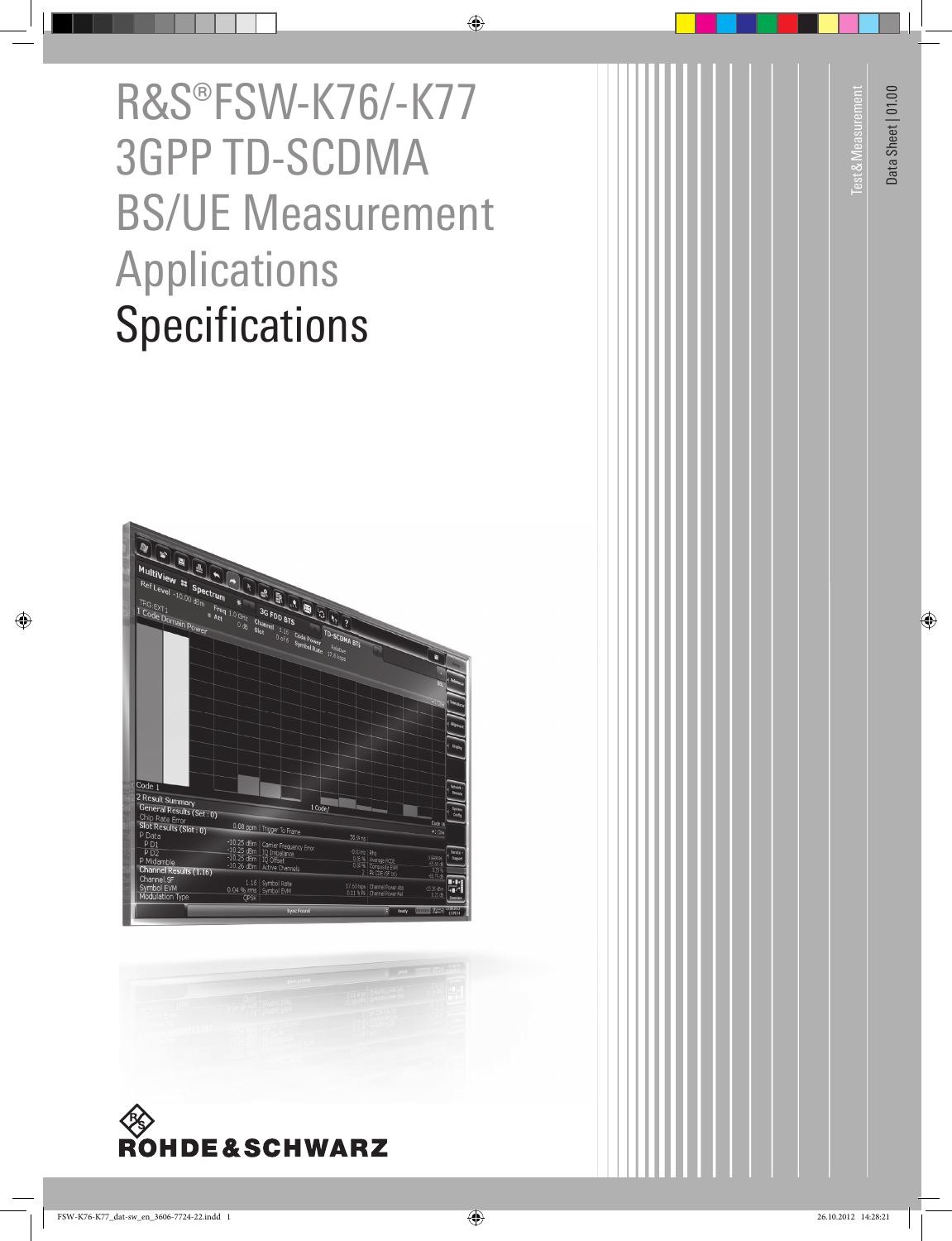# R&S®FSW-K76/-K77 3GPP TD-SCDMA BS/UE Measurement Applications **Specifications**







Data Sheet | 01.00 Data Sheet | 01.00

Test & Measurement

est& Measurement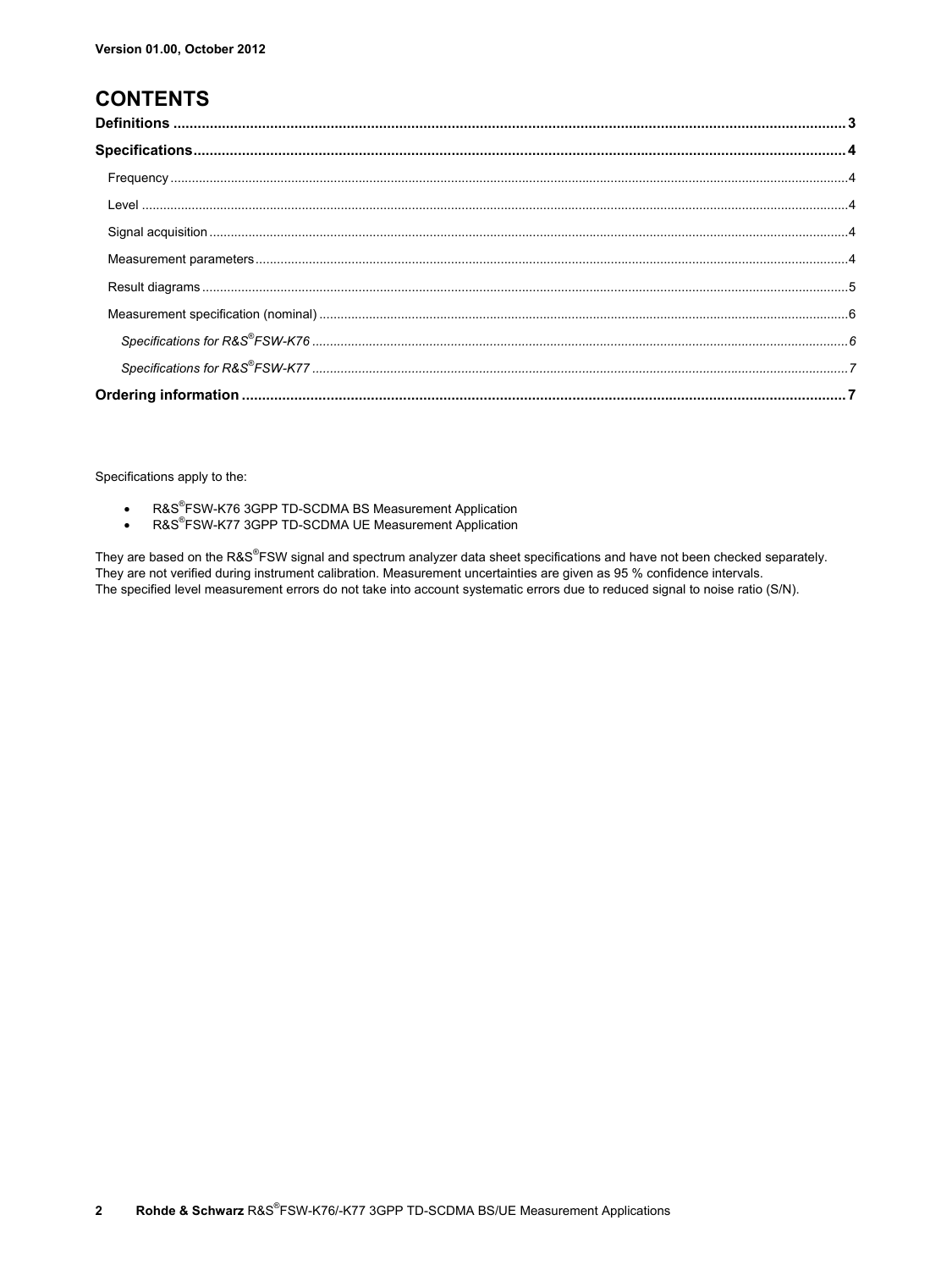### **CONTENTS**

Specifications apply to the:

- R&S®FSW-K76 3GPP TD-SCDMA BS Measurement Application  $\bullet$
- R&S®FSW-K77 3GPP TD-SCDMA UE Measurement Application  $\bullet$

They are based on the R&S®FSW signal and spectrum analyzer data sheet specifications and have not been checked separately. They are not verified during instrument calibration. Measurement uncertainties are given as 95 % confidence intervals. The specified level measurement errors do not take into account systematic errors due to reduced signal to noise ratio (S/N).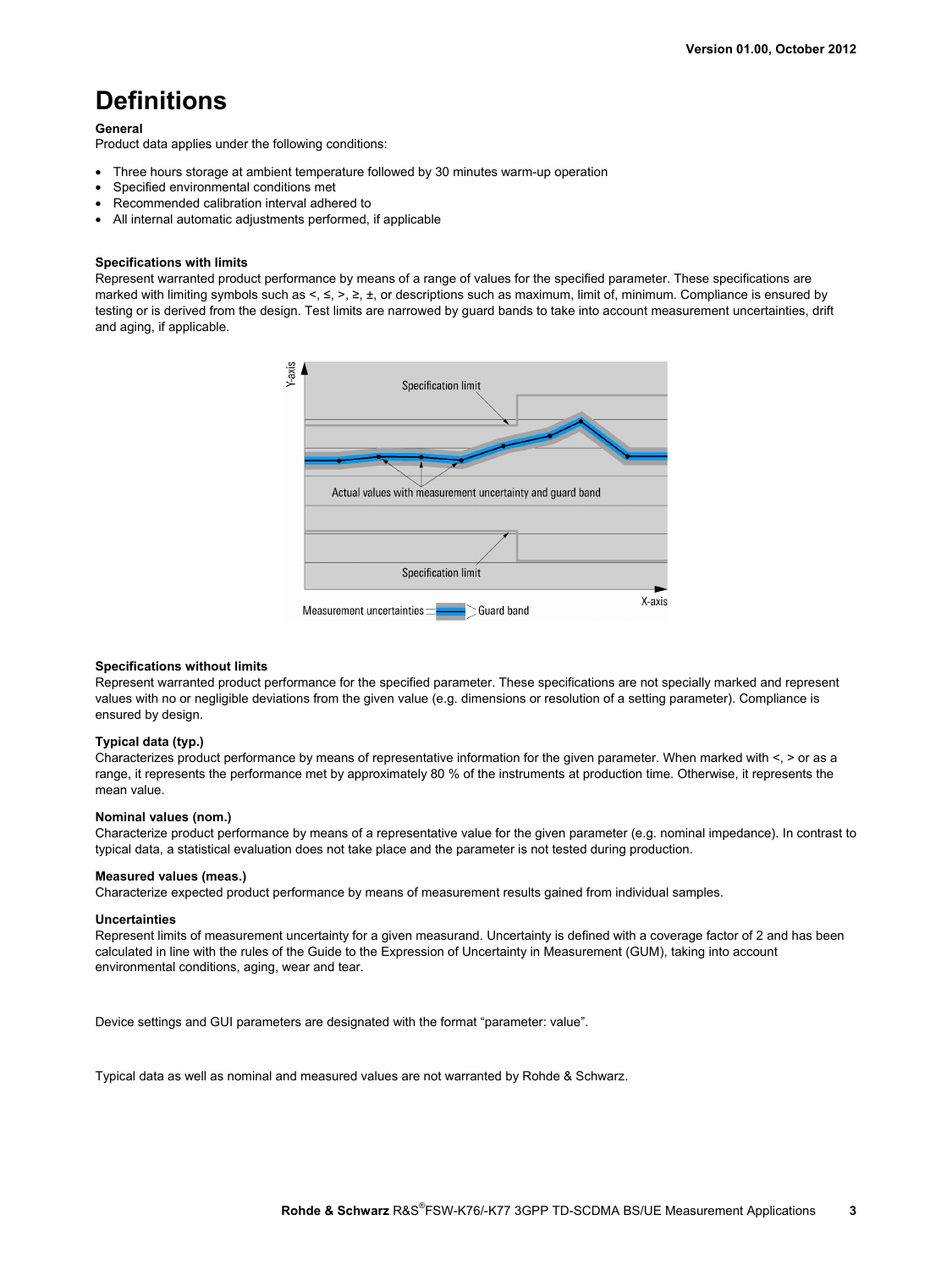# **Definitions**

### **General**

Product data applies under the following conditions:

- Three hours storage at ambient temperature followed by 30 minutes warm-up operation
- Specified environmental conditions met
- Recommended calibration interval adhered to
- All internal automatic adjustments performed, if applicable

### **Specifications with limits**

Represent warranted product performance by means of a range of values for the specified parameter. These specifications are marked with limiting symbols such as <, ≤, >, ≥, ±, or descriptions such as maximum, limit of, minimum. Compliance is ensured by testing or is derived from the design. Test limits are narrowed by guard bands to take into account measurement uncertainties, drift and aging, if applicable.



#### **Specifications without limits**

Represent warranted product performance for the specified parameter. These specifications are not specially marked and represent values with no or negligible deviations from the given value (e.g. dimensions or resolution of a setting parameter). Compliance is ensured by design.

#### **Typical data (typ.)**

Characterizes product performance by means of representative information for the given parameter. When marked with <, > or as a range, it represents the performance met by approximately 80 % of the instruments at production time. Otherwise, it represents the mean value.

#### **Nominal values (nom.)**

Characterize product performance by means of a representative value for the given parameter (e.g. nominal impedance). In contrast to typical data, a statistical evaluation does not take place and the parameter is not tested during production.

#### **Measured values (meas.)**

Characterize expected product performance by means of measurement results gained from individual samples.

#### **Uncertainties**

Represent limits of measurement uncertainty for a given measurand. Uncertainty is defined with a coverage factor of 2 and has been calculated in line with the rules of the Guide to the Expression of Uncertainty in Measurement (GUM), taking into account environmental conditions, aging, wear and tear.

Device settings and GUI parameters are designated with the format "parameter: value".

Typical data as well as nominal and measured values are not warranted by Rohde & Schwarz.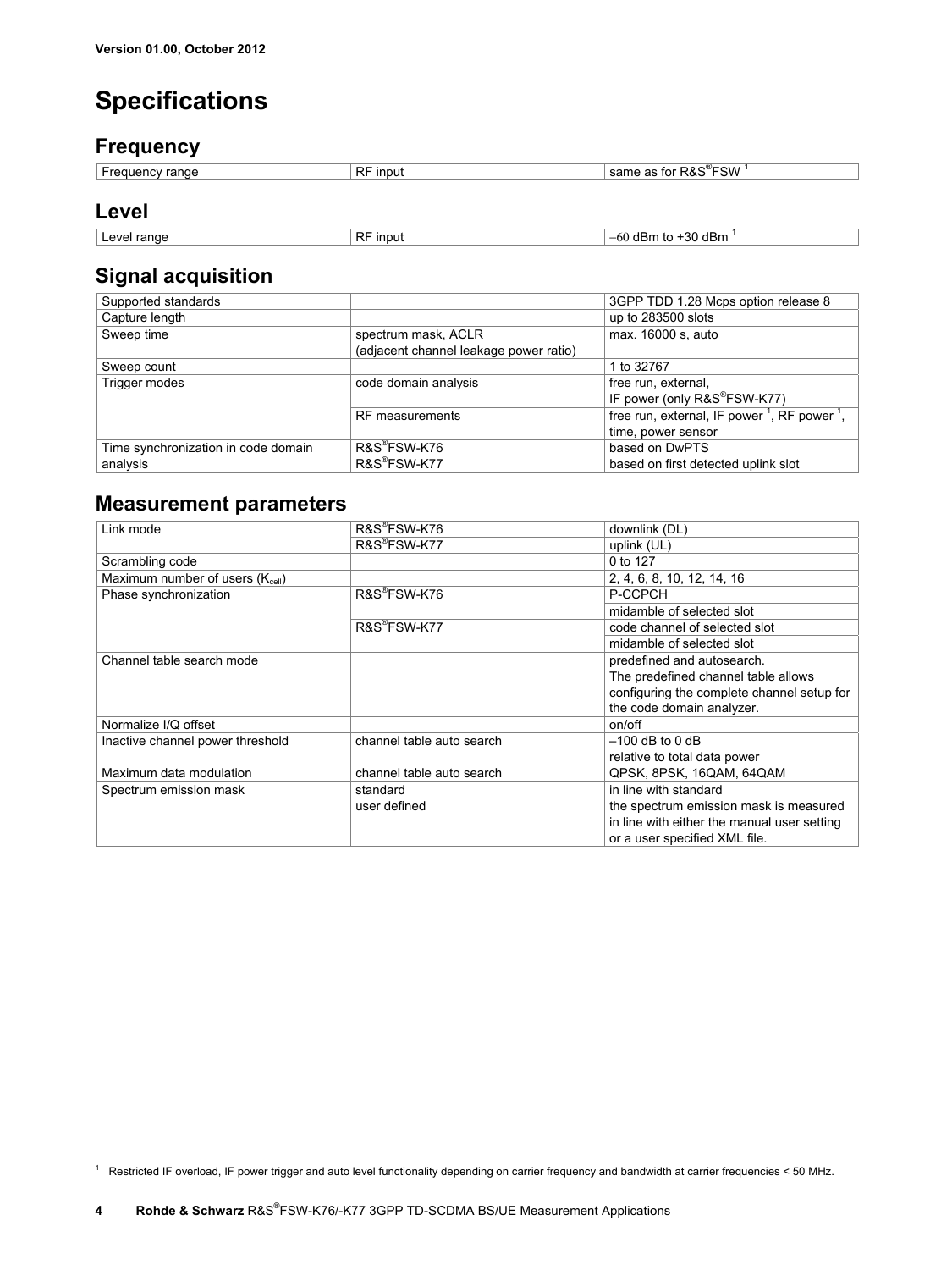# **Specifications**

### **Frequency**

| $\overline{\phantom{a}}$<br>range<br>-regi | DЕ<br>input<br>KI. | ີັFSW<br>∍∾<br>come<br>. as<br>tor<br>ĸά.<br>ш<br>sdi |
|--------------------------------------------|--------------------|-------------------------------------------------------|
|                                            |                    |                                                       |

### **Level**

 $\overline{a}$ 

| $-$<br>ົ<br>- ה-ירי<br>nne<br>الاست<br>$\sim$<br>aBm<br>ווחר<br>. .<br>.,,,<br>`JU<br>. IF<br>г.<br>nı. |  |
|---------------------------------------------------------------------------------------------------------|--|

### **Signal acquisition**

| Supported standards                 |                                        | 3GPP TDD 1.28 Mcps option release 8                                 |
|-------------------------------------|----------------------------------------|---------------------------------------------------------------------|
| Capture length                      |                                        | up to 283500 slots                                                  |
| Sweep time                          | spectrum mask, ACLR                    | max. 16000 s. auto                                                  |
|                                     | (adjacent channel leakage power ratio) |                                                                     |
| Sweep count                         |                                        | 1 to 32767                                                          |
| Trigger modes                       | code domain analysis                   | free run, external,                                                 |
|                                     |                                        | IF power (only R&S®FSW-K77)                                         |
|                                     | RF measurements                        | free run, external, IF power <sup>1</sup> , RF power <sup>1</sup> . |
|                                     |                                        | time, power sensor                                                  |
| Time synchronization in code domain | R&S®FSW-K76                            | based on DwPTS                                                      |
| analysis                            | R&S®FSW-K77                            | based on first detected uplink slot                                 |

### **Measurement parameters**

| Link mode                        | R&S®FSW-K76               | downlink (DL)                               |
|----------------------------------|---------------------------|---------------------------------------------|
|                                  | R&S®FSW-K77               | uplink (UL)                                 |
|                                  |                           |                                             |
| Scrambling code                  |                           | 0 to 127                                    |
| Maximum number of users (Kcell)  |                           | 2, 4, 6, 8, 10, 12, 14, 16                  |
| Phase synchronization            | R&S®FSW-K76               | P-CCPCH                                     |
|                                  |                           | midamble of selected slot                   |
|                                  | R&S®FSW-K77               | code channel of selected slot               |
|                                  |                           | midamble of selected slot                   |
| Channel table search mode        |                           | predefined and autosearch.                  |
|                                  |                           | The predefined channel table allows         |
|                                  |                           | configuring the complete channel setup for  |
|                                  |                           | the code domain analyzer.                   |
| Normalize I/Q offset             |                           | on/off                                      |
| Inactive channel power threshold | channel table auto search | $-100$ dB to 0 dB                           |
|                                  |                           | relative to total data power                |
| Maximum data modulation          | channel table auto search | QPSK, 8PSK, 16QAM, 64QAM                    |
| Spectrum emission mask           | standard                  | in line with standard                       |
|                                  | user defined              | the spectrum emission mask is measured      |
|                                  |                           | in line with either the manual user setting |
|                                  |                           | or a user specified XML file.               |

<sup>&</sup>lt;sup>1</sup> Restricted IF overload, IF power trigger and auto level functionality depending on carrier frequency and bandwidth at carrier frequencies < 50 MHz.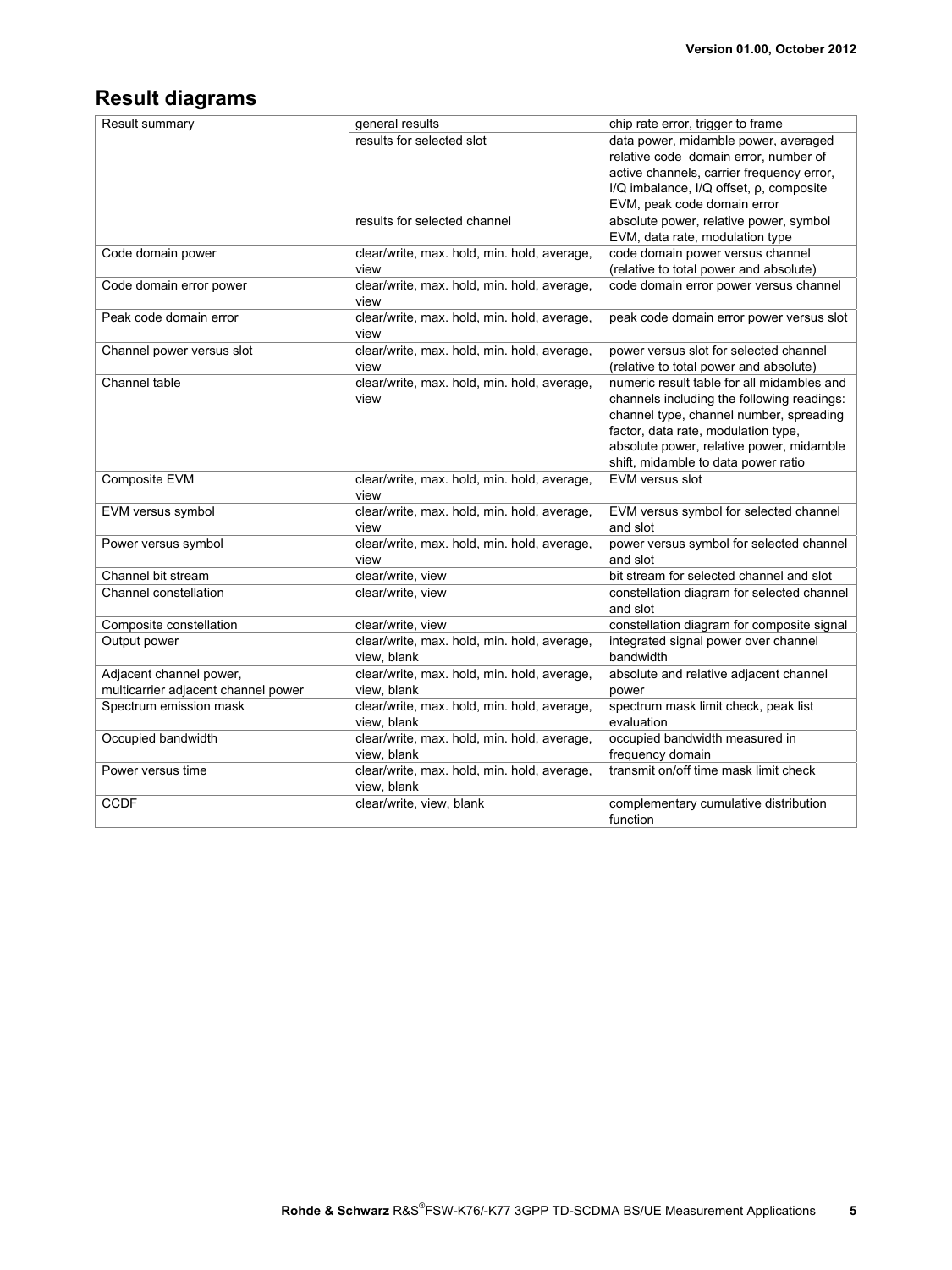### **Result diagrams**

| Result summary                      | general results                                            | chip rate error, trigger to frame                      |
|-------------------------------------|------------------------------------------------------------|--------------------------------------------------------|
|                                     | results for selected slot                                  | data power, midamble power, averaged                   |
|                                     |                                                            | relative code domain error, number of                  |
|                                     |                                                            | active channels, carrier frequency error,              |
|                                     |                                                            | I/Q imbalance, I/Q offset, p, composite                |
|                                     |                                                            | EVM, peak code domain error                            |
|                                     | results for selected channel                               | absolute power, relative power, symbol                 |
|                                     |                                                            | EVM, data rate, modulation type                        |
| Code domain power                   | clear/write, max. hold, min. hold, average,                | code domain power versus channel                       |
|                                     | view                                                       | (relative to total power and absolute)                 |
| Code domain error power             | clear/write, max. hold, min. hold, average,<br>view        | code domain error power versus channel                 |
| Peak code domain error              | clear/write, max. hold, min. hold, average,<br>view        | peak code domain error power versus slot               |
| Channel power versus slot           | clear/write, max. hold, min. hold, average,                | power versus slot for selected channel                 |
|                                     | view                                                       | (relative to total power and absolute)                 |
| Channel table                       | clear/write, max. hold, min. hold, average,                | numeric result table for all midambles and             |
|                                     | view                                                       | channels including the following readings:             |
|                                     |                                                            | channel type, channel number, spreading                |
|                                     |                                                            | factor, data rate, modulation type,                    |
|                                     |                                                            | absolute power, relative power, midamble               |
|                                     |                                                            | shift, midamble to data power ratio                    |
| Composite EVM                       | clear/write, max. hold, min. hold, average,<br>view        | EVM versus slot                                        |
| EVM versus symbol                   | clear/write, max. hold, min. hold, average,<br>view        | EVM versus symbol for selected channel<br>and slot     |
| Power versus symbol                 | clear/write, max. hold, min. hold, average,<br>view        | power versus symbol for selected channel<br>and slot   |
| Channel bit stream                  | clear/write, view                                          | bit stream for selected channel and slot               |
| Channel constellation               | clear/write, view                                          | constellation diagram for selected channel<br>and slot |
| Composite constellation             | clear/write, view                                          | constellation diagram for composite signal             |
| Output power                        | clear/write, max. hold, min. hold, average,<br>view, blank | integrated signal power over channel<br>bandwidth      |
| Adjacent channel power,             | clear/write, max. hold, min. hold, average,                | absolute and relative adjacent channel                 |
| multicarrier adjacent channel power | view, blank                                                | power                                                  |
| Spectrum emission mask              | clear/write, max. hold, min. hold, average,<br>view, blank | spectrum mask limit check, peak list<br>evaluation     |
| Occupied bandwidth                  | clear/write, max. hold, min. hold, average,                | occupied bandwidth measured in                         |
|                                     | view, blank                                                | frequency domain                                       |
| Power versus time                   | clear/write, max. hold, min. hold, average,<br>view, blank | transmit on/off time mask limit check                  |
| <b>CCDF</b>                         | clear/write, view, blank                                   | complementary cumulative distribution                  |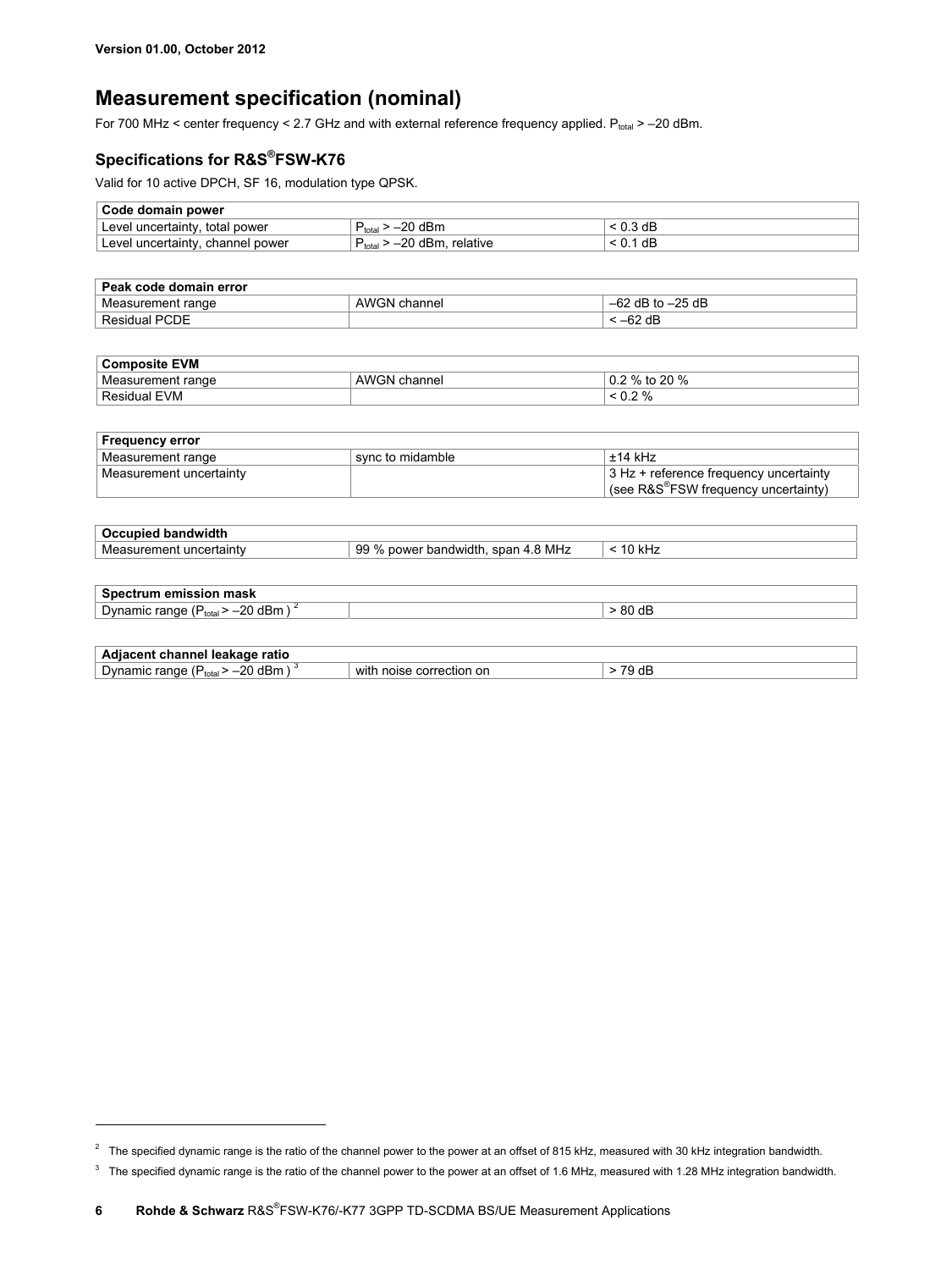$\overline{a}$ 

### **Measurement specification (nominal)**

For 700 MHz < center frequency < 2.7 GHz and with external reference frequency applied.  $P_{total}$  > -20 dBm.

### **Specifications for R&S® FSW-K76**

Valid for 10 active DPCH, SF 16, modulation type QPSK.

| Code domain power                |                                           |        |
|----------------------------------|-------------------------------------------|--------|
| Level uncertainty, total power   | dBn<br>ററ<br>fotal <sup>-</sup>           | 0.3 dB |
| Level uncertainty, channel power | ററ<br>dBm. relative<br>fotal <sup>-</sup> | dB     |

| . Peak code domain error . |              |                         |
|----------------------------|--------------|-------------------------|
| Measurement range          | AWGN channel | $-62$<br>: dB to –25 dB |
| Residual PCDE              |              | $-62$ dB                |

| <b>Composite EVM</b> |              |                               |
|----------------------|--------------|-------------------------------|
| Measurement range    | AWGN channel | 20 %<br>0/<br>to<br>U.Z<br>70 |
| Residual<br>EVM      |              | ٧٥<br>v.z                     |

| <b>Frequency error</b>  |                  |                                                  |
|-------------------------|------------------|--------------------------------------------------|
| Measurement range       | sync to midamble | $±14$ kHz                                        |
| Measurement uncertainty |                  | 3 Hz + reference frequency uncertainty           |
|                         |                  | (see R&S <sup>®</sup> FSW frequency uncertainty) |

| bandwidth<br>Occupied   |                                         |     |
|-------------------------|-----------------------------------------|-----|
| Measurement uncertainty | 9 % power bandwidth, span 4.8 MHz<br>99 | kHz |
|                         |                                         |     |

| Spectrum emission mask                                             |       |
|--------------------------------------------------------------------|-------|
| <sup>2</sup> <sub>total</sub> > –20 dBm<br>Dynamic range $(P_{to}$ | 80 dB |
|                                                                    |       |

|                                                           | ratio<br>.nannel<br>IAAI<br>юе |                                    |  |
|-----------------------------------------------------------|--------------------------------|------------------------------------|--|
| range<br>witl<br>or<br>' )∨namic<br>nnise<br>¬cπ.<br>tota | $\mathbf{H}$<br>∩∩             | <br>$\overline{\phantom{a}}$<br>dE |  |

<sup>&</sup>lt;sup>2</sup> The specified dynamic range is the ratio of the channel power to the power at an offset of 815 kHz, measured with 30 kHz integration bandwidth.

 $3$  The specified dynamic range is the ratio of the channel power to the power at an offset of 1.6 MHz, measured with 1.28 MHz integration bandwidth.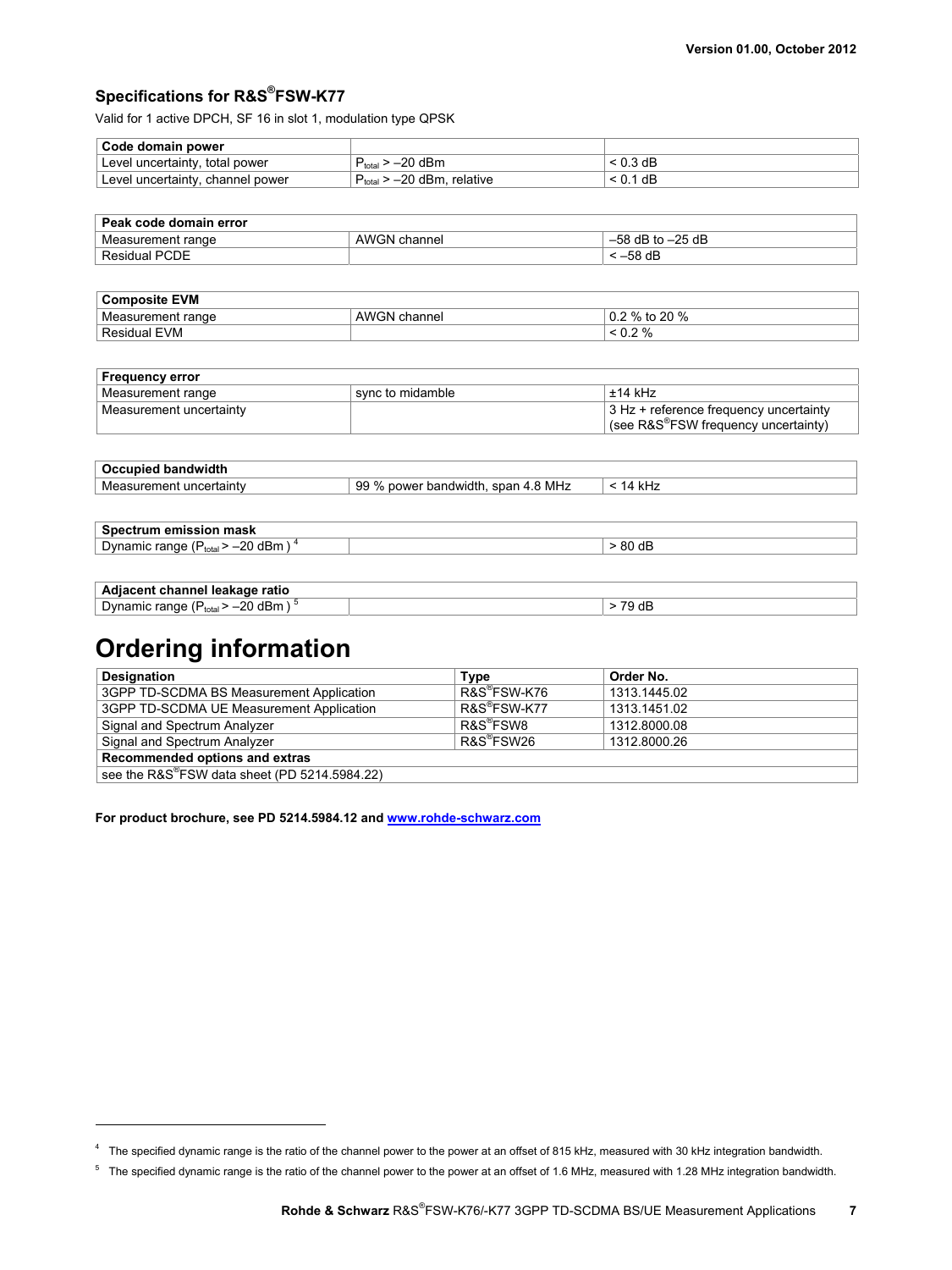### **Specifications for R&S® FSW-K77**

Valid for 1 active DPCH, SF 16 in slot 1, modulation type QPSK

| Code domain power                |                                |          |
|----------------------------------|--------------------------------|----------|
| Level uncertainty, total power   | −20 dBm<br>"total              | < 0.3 dB |
| Level uncertainty, channel power | · –20 dBm, relative<br>$total$ | < 0.1 dB |

| Peak code domain error |              |                           |  |
|------------------------|--------------|---------------------------|--|
| Measurement range      | AWGN channel | ⊢–25 dB<br>$-58$<br>dB to |  |
| Residual PCDE          |              | dE                        |  |

| <b>Composite EVM</b> |                 |                              |
|----------------------|-----------------|------------------------------|
| Measurement range    | AWGN<br>channel | 20%<br>$0.2 \%$<br>.t∩<br>ູບ |
| <b>Residual EVM</b>  |                 | 2%<br>v.z                    |

| <b>Frequency error</b>  |                  |                                                                                            |
|-------------------------|------------------|--------------------------------------------------------------------------------------------|
| Measurement range       | sync to midamble | $±14$ kHz                                                                                  |
| Measurement uncertainty |                  | 3 Hz + reference frequency uncertainty<br>(see R&S <sup>®</sup> FSW frequency uncertainty) |

| bandwidth<br>Occupied      |                                                                  |  |
|----------------------------|------------------------------------------------------------------|--|
| Measurement<br>uncertainty | span 4.8 MHz<br>$^{\circ}$ 0/<br>bandwidth.<br>aa<br>power<br>ວວ |  |
|                            |                                                                  |  |

| mack<br>$ -$<br>____                                                          |            |  |
|-------------------------------------------------------------------------------|------------|--|
| $\overline{\phantom{a}}$<br>dBr<br>)\/r<br>ange<br>iamic<br>tota<br>◡<br>$ -$ | -15<br>∵a∟ |  |
|                                                                               |            |  |

| ratio<br>--                                         |  |
|-----------------------------------------------------|--|
| ົ<br>dE<br>range<br>Dynamic<br>. L. A<br>total<br>◡ |  |

## **Ordering information**

 $\overline{a}$ 

| Designation                                  | Type                     | Order No.    |
|----------------------------------------------|--------------------------|--------------|
| 3GPP TD-SCDMA BS Measurement Application     | R&S <sup>®</sup> FSW-K76 | 1313.1445.02 |
| 3GPP TD-SCDMA UE Measurement Application     | R&S <sup>®</sup> FSW-K77 | 1313.1451.02 |
| Signal and Spectrum Analyzer                 | R&S <sup>®</sup> FSW8    | 1312.8000.08 |
| Signal and Spectrum Analyzer                 | R&S <sup>®</sup> FSW26   | 1312.8000.26 |
| Recommended options and extras               |                          |              |
| see the R&S®FSW data sheet (PD 5214.5984.22) |                          |              |

**For product brochure, see PD 5214.5984.12 and www.rohde-schwarz.com**

<sup>&</sup>lt;sup>4</sup> The specified dynamic range is the ratio of the channel power to the power at an offset of 815 kHz, measured with 30 kHz integration bandwidth.

 $5$  The specified dynamic range is the ratio of the channel power to the power at an offset of 1.6 MHz, measured with 1.28 MHz integration bandwidth.